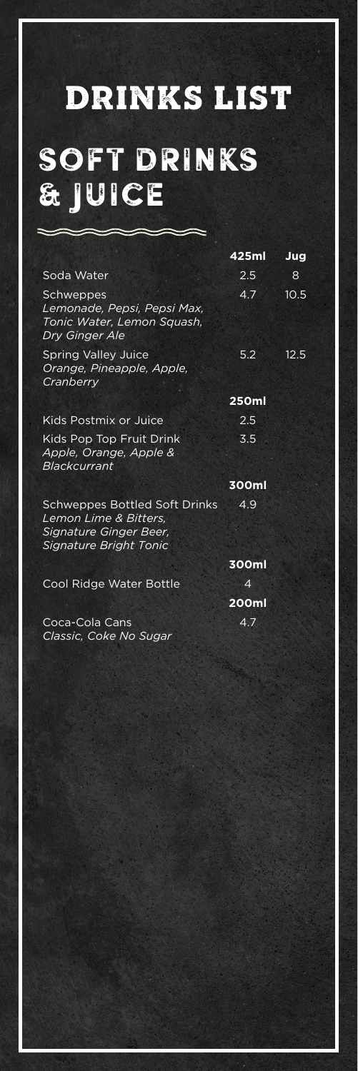#### DRINKS LIST

## SOFT DRINKS & JUICE

|                                                                                                                   | 425ml        | Jug  |
|-------------------------------------------------------------------------------------------------------------------|--------------|------|
| Soda Water                                                                                                        | 2.5          | 8    |
| Schweppes<br>Lemonade, Pepsi, Pepsi Max,<br>Tonic Water, Lemon Squash,<br>Dry Ginger Ale                          | 4.7          | 10.5 |
| <b>Spring Valley Juice</b><br>Orange, Pineapple, Apple,<br>Cranberry                                              | 5.2          | 12.5 |
|                                                                                                                   | <b>250ml</b> |      |
| Kids Postmix or Juice                                                                                             | 2.5          |      |
| Kids Pop Top Fruit Drink<br>Apple, Orange, Apple &<br>Blackcurrant                                                | 3.5          |      |
|                                                                                                                   | 300ml        |      |
| <b>Schweppes Bottled Soft Drinks</b><br>Lemon Lime & Bitters,<br>Signature Ginger Beer,<br>Signature Bright Tonic | 4.9          |      |
|                                                                                                                   | <b>300ml</b> |      |
| Cool Ridge Water Bottle                                                                                           | 4            |      |
|                                                                                                                   | <b>200ml</b> |      |
| Coca-Cola Cans<br>Classic, Coke No Sugar                                                                          | 4.7          |      |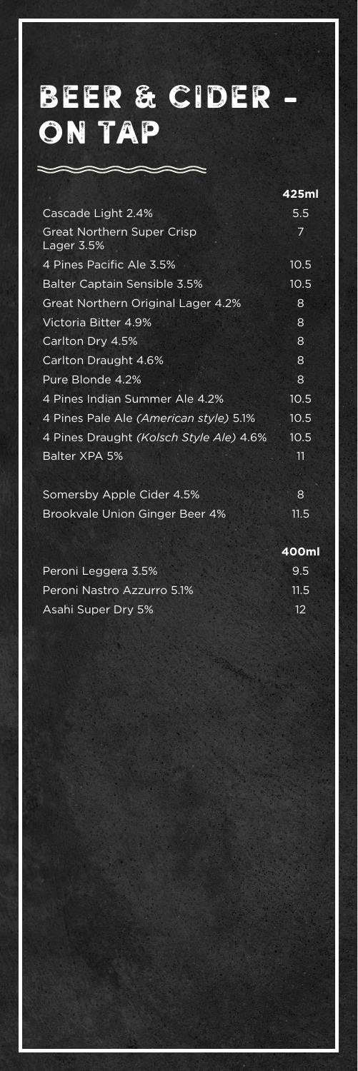#### BEER & CIDER - ON TAP

|                                                 | 425ml |
|-------------------------------------------------|-------|
| Cascade Light 2.4%                              | 5.5   |
| <b>Great Northern Super Crisp</b><br>Lager 3.5% | 7     |
| 4 Pines Pacific Ale 3.5%                        | 10.5  |
| <b>Balter Captain Sensible 3.5%</b>             | 10.5  |
| Great Northern Original Lager 4.2%              | 8     |
| Victoria Bitter 4.9%                            | 8     |
| Carlton Dry 4.5%                                | 8     |
| Carlton Draught 4.6%                            | 8     |
| Pure Blonde 4.2%                                | 8     |
| 4 Pines Indian Summer Ale 4.2%                  | 10.5  |
| 4 Pines Pale Ale (American style) 5.1%          | 10.5  |
| 4 Pines Draught (Kolsch Style Ale) 4.6%         | 10.5  |
| Balter XPA 5%                                   | 11    |
|                                                 |       |
| Somersby Apple Cider 4.5%                       | 8     |
| Brookvale Union Ginger Beer 4%                  | 11.5  |

#### **400ml**

| Peroni Leggera 3.5%        | 9.5  |
|----------------------------|------|
| Peroni Nastro Azzurro 5.1% | 11.5 |
| Asahi Super Dry 5%         | 12.  |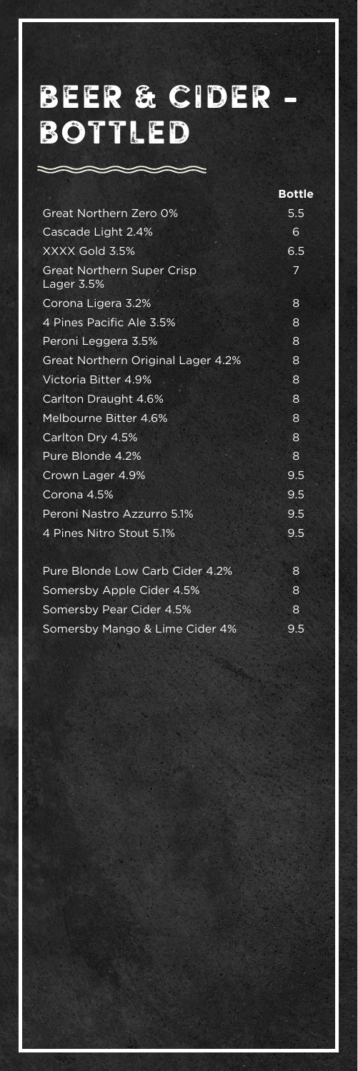#### BEER & CIDER - BOTTLED

|                                                   | <b>Bottle</b> |
|---------------------------------------------------|---------------|
| Great Northern Zero 0%                            | 5.5           |
| Cascade Light 2.4%                                | 6             |
| XXXX Gold 3.5%                                    | 6.5           |
| <b>Great Northern Super Crisp</b><br>Lager $3.5%$ | 7             |
| Corona Ligera 3.2%                                | 8             |
| 4 Pines Pacific Ale 3.5%                          | 8             |
| Peroni Leggera 3.5%                               | 8             |
| Great Northern Original Lager 4.2%                | 8             |
| Victoria Bitter 4.9%                              | 8             |
| Carlton Draught 4.6%                              | 8             |
| Melbourne Bitter 4.6%                             | 8             |
| Carlton Dry 4.5%                                  | 8             |
| Pure Blonde 4.2%                                  | 8             |
| Crown Lager 4.9%                                  | 9.5           |
| Corona 4.5%                                       | 9.5           |
| Peroni Nastro Azzurro 5.1%                        | 9.5           |
| 4 Pines Nitro Stout 5.1%                          | 9.5           |
| Pure Blonde Low Carb Cider 4.2%                   | 8             |
| Somersby Apple Cider 4.5%                         | 8             |
| Somersby Pear Cider 4.5%                          | 8             |
| Somersby Mango & Lime Cider 4%                    | 9.5           |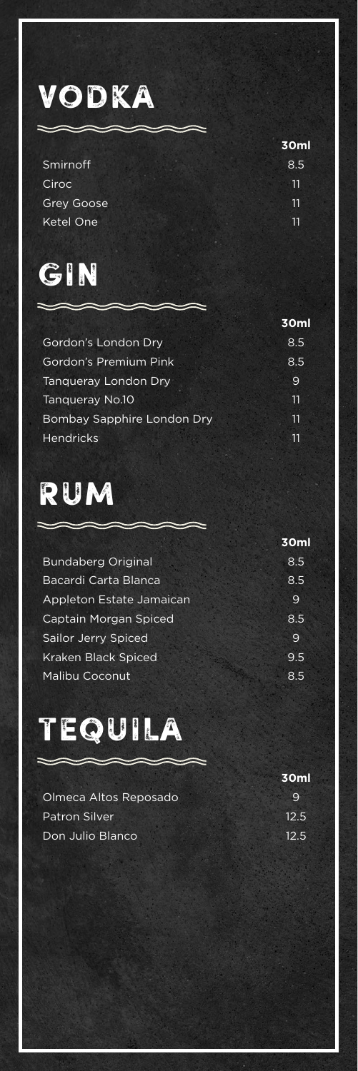### VODKA

|                   | 30ml |
|-------------------|------|
| Smirnoff          | 8.5  |
| Ciroc             | 11   |
| <b>Grey Goose</b> | 11   |
| <b>Ketel One</b>  | 11   |
|                   |      |



|                            | 30ml |
|----------------------------|------|
| Gordon's London Dry        | 8.5  |
| Gordon's Premium Pink      | 8.5  |
| Tangueray London Dry       | 9    |
| Tangueray No.10            | 11   |
| Bombay Sapphire London Dry | 11   |
| <b>Hendricks</b>           | 11   |
|                            |      |

## RUM

|                           | 30ml |
|---------------------------|------|
| <b>Bundaberg Original</b> | 8.5  |
| Bacardi Carta Blanca      | 8.5  |
| Appleton Estate Jamaican  | 9    |
| Captain Morgan Spiced     | 8.5  |
| Sailor Jerry Spiced       | 9    |
| Kraken Black Spiced       | 9.5  |
| Malibu Coconut            | 8.5  |

#### TEQUILA

| Olmeca Altos Reposado | q    |
|-----------------------|------|
| <b>Patron Silver</b>  | 12.5 |
| Don Julio Blanco      | 12.5 |

**30ml**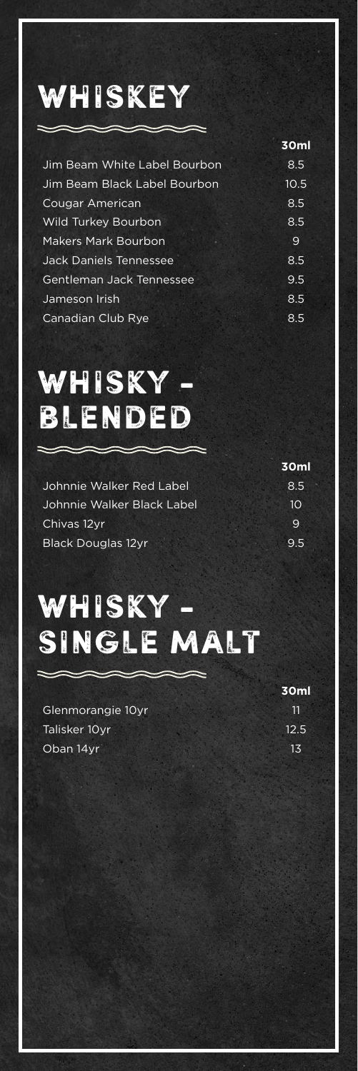#### WHISKEY

|                              | 30ml |
|------------------------------|------|
| Jim Beam White Label Bourbon | 8.5  |
| Jim Beam Black Label Bourbon | 10.5 |
| Cougar American              | 8.5  |
| Wild Turkey Bourbon          | 8.5  |
| Makers Mark Bourbon          | 9    |
| Jack Daniels Tennessee       | 8.5  |
| Gentleman Jack Tennessee     | 9.5  |
| Jameson Irish                | 8.5  |
| Canadian Club Rye            | 8.5  |

## WHISKY - BLENDED

|                            | 30 <sub>m</sub> |
|----------------------------|-----------------|
| Johnnie Walker Red Label   | 8.5             |
| Johnnie Walker Black Label | 10              |
| Chivas 12yr                | 9               |
| Black Douglas 12yr         | 9.5             |

## WHISKY -SINGLE MALT

Glenmorangie 10yr 11 Talisker 10yr 12.5 Oban 14yr 13

**30ml**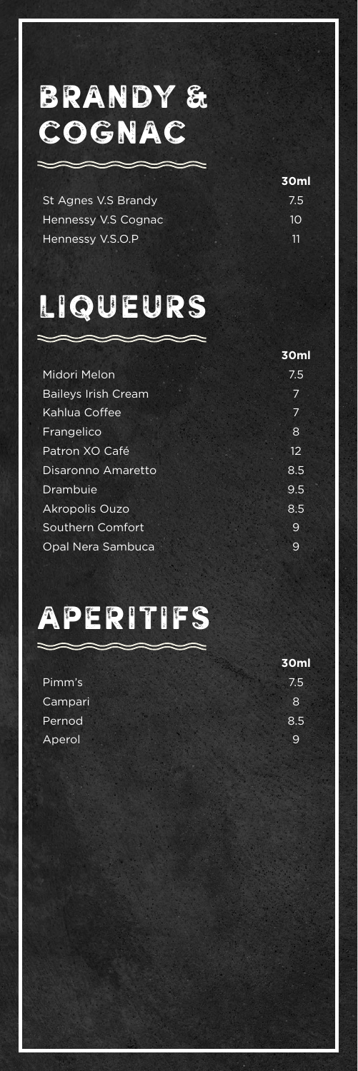#### BRANDY & COGNAC

St Agnes V.S Brandy 7.5 Hennessy V.S Cognac 10 Hennessy V.S.O.P 11

**30ml**

### LIQUEURS

|                            | 30ml |
|----------------------------|------|
| Midori Melon               | 7.5  |
| <b>Baileys Irish Cream</b> | 7    |
| Kahlua Coffee              | 7    |
| Frangelico                 | 8    |
| Patron XO Café             | 12   |
| Disaronno Amaretto         | 8.5  |
| Drambuie                   | 9.5  |
| <b>Akropolis Ouzo</b>      | 8.5  |
| Southern Comfort           | 9    |
| Opal Nera Sambuca          | 9    |

## APERITIFS

|         | 30ml |
|---------|------|
| Pimm's  | 7.5  |
| Campari | 8    |
| Pernod  | 8.5  |
| Aperol  | 9    |
|         |      |